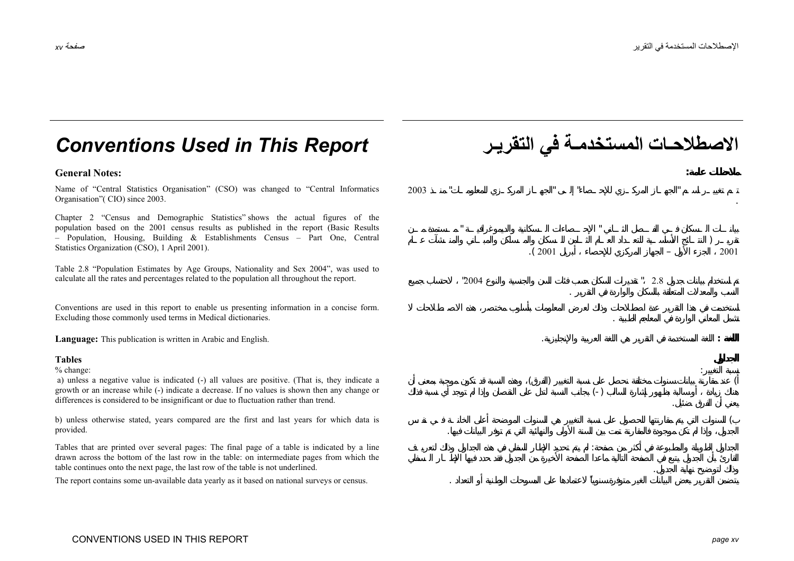# *Conventions Used in This Report* **التقريـر في المستخدمـة الاصطلاحـات**

## **General Notes: :**

Name of "Central Statistics Organisation" (CSO) was changed to "Central Informatics Organisation"( CIO) since 2003.

Chapter 2 "Census and Demographic Statistics" shows the actual figures of the population based on the 2001 census results as published in the report (Basic Results – Population, Housing, Building & Establishments Census – Part One, Central Statistics Organization (CSO), 1 April 2001).

Table 2.8 "Population Estimates by Age Groups, Nationality and Sex 2004", was used to calculate all the rates and percentages related to the population all throughout the report.

Conventions are used in this report to enable us presenting information in a concise form. Excluding those commonly used terms in Medical dictionaries. .

**Language:** This publication is written in Arabic and English. . **:**

#### **Tables**

#### % change:

 a) unless a negative value is indicated (-) all values are positive. (That is, they indicate a growth or an increase while (-) indicate a decrease. If no values is shown then any change or differences is considered to be insignificant or due to fluctuation rather than trend.

b) unless otherwise stated, years compared are the first and last years for which data is provided.

Tables that are printed over several pages: The final page of a table is indicated by a line drawn across the bottom of the last row in the table: on intermediate pages from which the table continues onto the next page, the last row of the table is not underlined.

The report contains some un-available data yearly as it based on national surveys or census. .

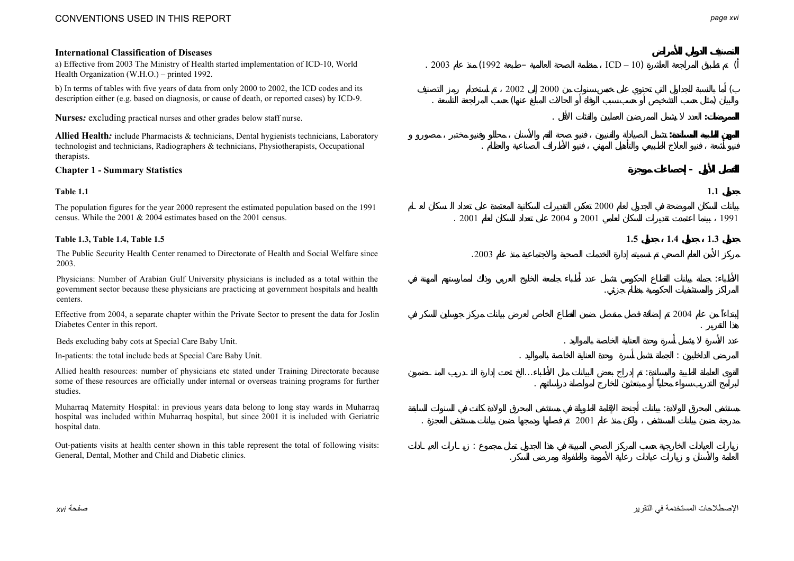# CONVENTIONS USED IN THIS REPORT

### **International Classification of Diseases**

a) Effective from 2003 The Ministry of Health started implementation of ICD-10, World Health Organization (W.H.O.) – printed 1992.

b) In terms of tables with five years of data from only 2000 to 2002, the ICD codes and its description either (e.g. based on diagnosis, or cause of death, or reported cases) by ICD-9.

**Allied Health***:* include Pharmacists & technicians, Dental hygienists technicians, Laboratory technologist and technicians, Radiographers & technicians, Physiotherapists, Occupational therapists.

#### **Chapter 1 - Summary Statistics -**

#### **Table 1.1**

The population figures for the year 2000 represent the estimated population based on the 1991 census. While the 2001 & 2004 estimates based on the 2001 census.

The Public Security Health Center renamed to Directorate of Health and Social Welfare since 2003.

Physicians: Number of Arabian Gulf University physicians is included as a total within the government sector because these physicians are practicing at government hospitals and health centers.

Effective from 2004, a separate chapter within the Private Sector to present the data for Joslin Diabetes Center in this report.

Beds excluding baby cots at Special Care Baby Unit. .

In-patients: the total include beds at Special Care Baby Unit.

Allied health resources: number of physicians etc stated under Training Directorate because some of these resources are officially under internal or overseas training programs for further studies.

Muharraq Maternity Hospital: in previous years data belong to long stay wards in Muharraq hospital was included within Muharraq hospital, but since 2001 it is included with Geriatric hospital data.

Out-patients visits at health center shown in this table represent the total of following visits: General, Dental, Mother and Child and Diabetic clinics.

. 2003 (1992 – ICD – 10) 2002 $2000$  (  $($ **Nurses***:* excluding practical nurses and other grades below staff nurse. . **: : 1.1** 2000. 2001 2004 2001 1991 **Table 1.3, Table 1.4, Table 1.5 1.5 1.4 1.3** .2003:2004 .. :... : .:2001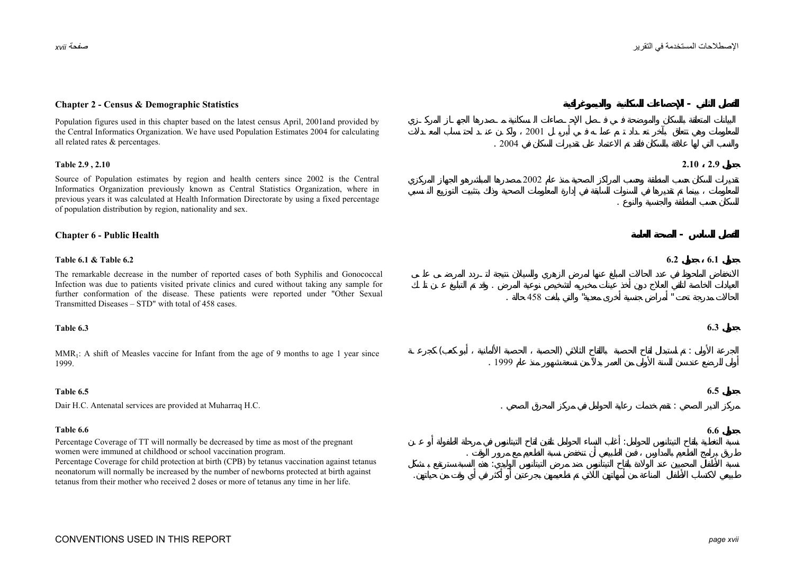### **Chapter 2 - Census & Demographic Statistics -**

Population figures used in this chapter based on the latest census April, 2001and provided by the Central Informatics Organization. We have used Population Estimates 2004 for calculating all related rates & percentages.

Source of Population estimates by region and health centers since 2002 is the Central Informatics Organization previously known as Central Statistics Organization, where in previous years it was calculated at Health Information Directorate by using a fixed percentage of population distribution by region, nationality and sex.

#### **Chapter 6 - Public Health -**

The remarkable decrease in the number of reported cases of both Syphilis and Gonococcal Infection was due to patients visited private clinics and cured without taking any sample for further conformation of the disease. These patients were reported under "Other Sexual Transmitted Diseases – STD" with total of 458 cases.

#### **Table 6.3**

 $MMR<sub>1</sub>$ : A shift of Measles vaccine for Infant from the age of 9 months to age 1 year since 1999.

#### **Table 6.5**

Percentage Coverage of TT will normally be decreased by time as most of the pregnant women were immuned at childhood or school vaccination program.

Percentage Coverage for child protection at birth (CPB) by tetanus vaccination against tetanus neonatorum will normally be increased by the number of newborns protected at birth against tetanus from their mother who received 2 doses or more of tetanus any time in her life.

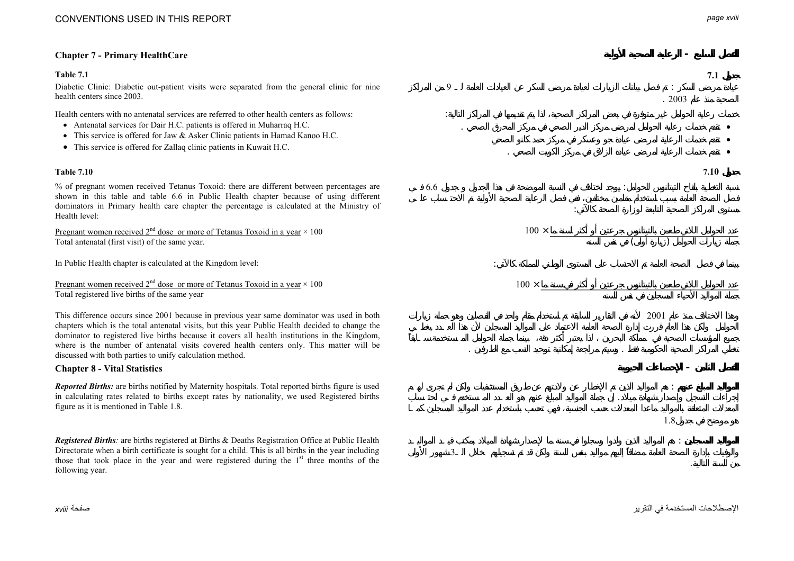# **Chapter 7 - Primary HealthCare -**

### **Table 7.1**

Diabetic Clinic: Diabetic out-patient visits were separated from the general clinic for nine health centers since 2003.

Health centers with no antenatal services are referred to other health centers as follows:

- Antenatal services for Dair H.C. patients is offered in Muharraq H.C.
- This service is offered for Jaw & Asker Clinic patients in Hamad Kanoo H.C.
- This service is offered for Zallaq clinic patients in Kuwait H.C.

### **Table 7.10**

% of pregnant women received Tetanus Toxoid: there are different between percentages are shown in this table and table 6.6 in Public Health chapter because of using different dominators in Primary health care chapter the percentage is calculated at the Ministry of Health level:

Pregnant women received  $2^{nd}$  dose or more of Tetanus Toxoid in a year  $\times$  100 Total antenatal (first visit) of the same year.

In Public Health chapter is calculated at the Kingdom level:

Pregnant women received  $2^{nd}$  dose or more of Tetanus Toxoid in a year  $\times$  100 Total registered live births of the same year

This difference occurs since 2001 because in previous year same dominator was used in both chapters which is the total antenatal visits, but this year Public Health decided to change the dominator to registered live births because it covers all health institutions in the Kingdom, where is the number of antenatal visits covered health centers only. This matter will be discussed with both parties to unify calculation method.

### **Chapter 8 - Vital Statistics -**

*Reported Births:* are births notified by Maternity hospitals. Total reported births figure is used in calculating rates related to births except rates by nationality, we used Registered births figure as it is mentioned in Table 1.8.

*Registered Births:* are births registered at Births & Deaths Registration Office at Public Health Directorate when a birth certificate is sought for a child. This is all births in the year including those that took place in the year and were registered during the  $1<sup>st</sup>$  three months of the following year.



الإصطلاحات المستخدمة في التقرير صفحة *xviii*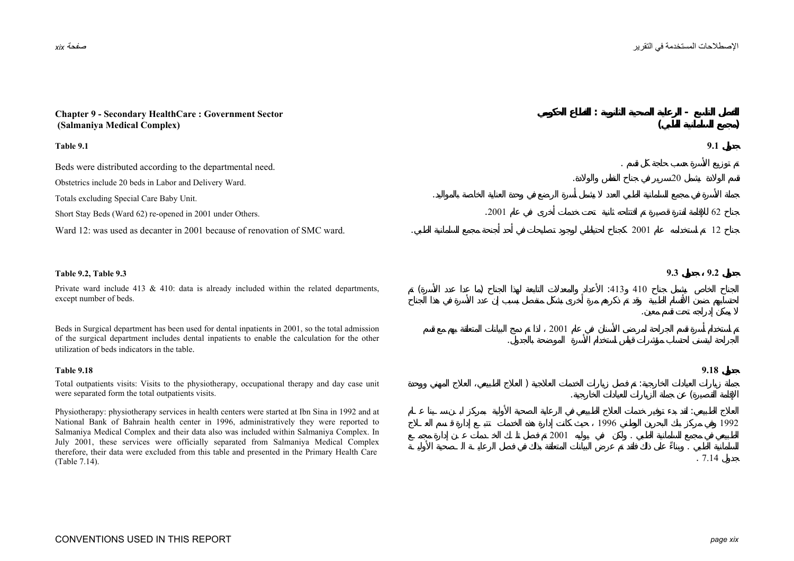| <b>Chapter 9 - Secondary HealthCare: Government Sector</b><br>(Salmaniya Medical Complex)                                                                                                                                                                                            |       |      |      |      |     |       |      |
|--------------------------------------------------------------------------------------------------------------------------------------------------------------------------------------------------------------------------------------------------------------------------------------|-------|------|------|------|-----|-------|------|
| Table 9.1                                                                                                                                                                                                                                                                            |       |      |      |      |     | 9.1   |      |
| Beds were distributed according to the departmental need.                                                                                                                                                                                                                            |       |      |      |      |     |       |      |
| Obstetrics include 20 beds in Labor and Delivery Ward.                                                                                                                                                                                                                               |       |      |      |      | 20  |       |      |
| Totals excluding Special Care Baby Unit.                                                                                                                                                                                                                                             |       |      |      |      |     |       |      |
| Short Stay Beds (Ward 62) re-opened in 2001 under Others.                                                                                                                                                                                                                            | .2001 |      |      |      |     | 62    |      |
| Ward 12: was used as decanter in 2001 because of renovation of SMC ward.                                                                                                                                                                                                             |       |      |      | 2001 |     | 12    |      |
|                                                                                                                                                                                                                                                                                      |       |      |      |      |     |       |      |
| Table 9.2, Table 9.3                                                                                                                                                                                                                                                                 |       |      |      |      | 9.3 | 9.2   |      |
| Private ward include 413 $\&$ 410: data is already included within the related departments,<br>except number of beds.                                                                                                                                                                |       |      | :413 | 410  |     |       |      |
| Beds in Surgical department has been used for dental inpatients in 2001, so the total admission<br>of the surgical department includes dental inpatients to enable the calculation for the other<br>utilization of beds indicators in the table.                                     |       | 2001 |      |      |     |       |      |
| <b>Table 9.18</b>                                                                                                                                                                                                                                                                    |       |      |      |      |     | 9.18  |      |
| Total outpatients visits: Visits to the physiotherapy, occupational therapy and day case unit<br>were separated form the total outpatients visits.                                                                                                                                   |       |      |      |      |     |       |      |
| Physiotherapy: physiotherapy services in health centers were started at Ibn Sina in 1992 and at<br>National Bank of Bahrain health center in 1996, administratively they were reported to<br>Salmaniya Medical Complex and their data also was included within Salmaniya Complex. In |       | 2001 | 1996 |      |     |       | 1992 |
| July 2001, these services were officially separated from Salmaniya Medical Complex<br>therefore, their data were excluded from this table and presented in the Primary Health Care<br>(Table 7.14).                                                                                  |       |      |      |      |     | .7.14 |      |